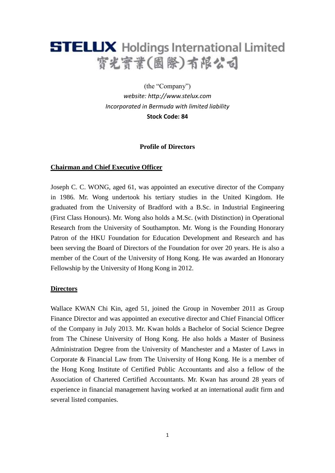

(the "Company") *website: [http://www.stelux.com](http://www.stelux.com/) Incorporated in Bermuda with limited liability*  **Stock Code: 84**

## **Profile of Directors**

## **Chairman and Chief Executive Officer**

Joseph C. C. WONG, aged 61, was appointed an executive director of the Company in 1986. Mr. Wong undertook his tertiary studies in the United Kingdom. He graduated from the University of Bradford with a B.Sc. in Industrial Engineering (First Class Honours). Mr. Wong also holds a M.Sc. (with Distinction) in Operational Research from the University of Southampton. Mr. Wong is the Founding Honorary Patron of the HKU Foundation for Education Development and Research and has been serving the Board of Directors of the Foundation for over 20 years. He is also a member of the Court of the University of Hong Kong. He was awarded an Honorary Fellowship by the University of Hong Kong in 2012.

## **Directors**

Wallace KWAN Chi Kin, aged 51, joined the Group in November 2011 as Group Finance Director and was appointed an executive director and Chief Financial Officer of the Company in July 2013. Mr. Kwan holds a Bachelor of Social Science Degree from The Chinese University of Hong Kong. He also holds a Master of Business Administration Degree from the University of Manchester and a Master of Laws in Corporate & Financial Law from The University of Hong Kong. He is a member of the Hong Kong Institute of Certified Public Accountants and also a fellow of the Association of Chartered Certified Accountants. Mr. Kwan has around 28 years of experience in financial management having worked at an international audit firm and several listed companies.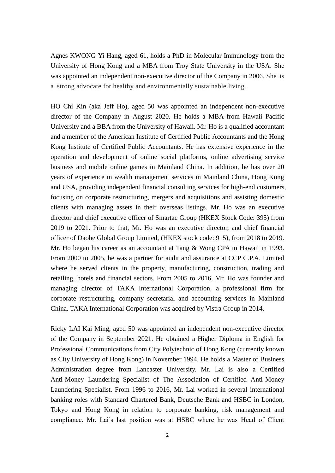Agnes KWONG Yi Hang, aged 61, holds a PhD in Molecular Immunology from the University of Hong Kong and a MBA from Troy State University in the USA. She was appointed an independent non-executive director of the Company in 2006. She is a strong advocate for healthy and environmentally sustainable living.

HO Chi Kin (aka Jeff Ho), aged 50 was appointed an independent non-executive director of the Company in August 2020. He holds a MBA from Hawaii Pacific University and a BBA from the University of Hawaii. Mr. Ho is a qualified accountant and a member of the American Institute of Certified Public Accountants and the Hong Kong Institute of Certified Public Accountants. He has extensive experience in the operation and development of online social platforms, online advertising service business and mobile online games in Mainland China. In addition, he has over 20 years of experience in wealth management services in Mainland China, Hong Kong and USA, providing independent financial consulting services for high-end customers, focusing on corporate restructuring, mergers and acquisitions and assisting domestic clients with managing assets in their overseas listings. Mr. Ho was an executive director and chief executive officer of Smartac Group (HKEX Stock Code: 395) from 2019 to 2021. Prior to that, Mr. Ho was an executive director, and chief financial officer of Daohe Global Group Limited, (HKEX stock code: 915), from 2018 to 2019. Mr. Ho began his career as an accountant at Tang & Wong CPA in Hawaii in 1993. From 2000 to 2005, he was a partner for audit and assurance at CCP C.P.A. Limited where he served clients in the property, manufacturing, construction, trading and retailing, hotels and financial sectors. From 2005 to 2016, Mr. Ho was founder and managing director of TAKA International Corporation, a professional firm for corporate restructuring, company secretarial and accounting services in Mainland China. TAKA International Corporation was acquired by Vistra Group in 2014.

Ricky LAI Kai Ming, aged 50 was appointed an independent non-executive director of the Company in September 2021. He obtained a Higher Diploma in English for Professional Communications from City Polytechnic of Hong Kong (currently known as City University of Hong Kong) in November 1994. He holds a Master of Business Administration degree from Lancaster University. Mr. Lai is also a Certified Anti-Money Laundering Specialist of The Association of Certified Anti-Money Laundering Specialist. From 1996 to 2016, Mr. Lai worked in several international banking roles with Standard Chartered Bank, Deutsche Bank and HSBC in London, Tokyo and Hong Kong in relation to corporate banking, risk management and compliance. Mr. Lai's last position was at HSBC where he was Head of Client